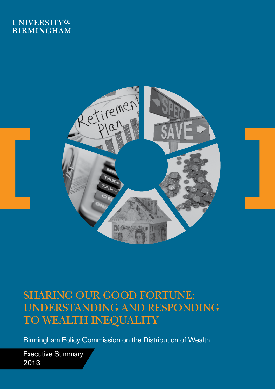## **UNIVERSITYOF BIRMINGHAM**



# SHARING OUR GOOD FORTUNE: UNDERSTANDING AND RESPONDING TO WEALTH INEQUALITY

Birmingham Policy Commission on the Distribution of Wealth

Executive Summary 2013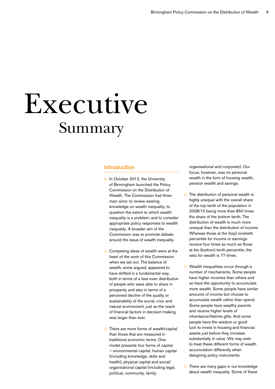# Summary Executive

#### Introduction

- $\Box$  In October 2012, the University of Birmingham launched the Policy Commission on the Distribution of Wealth. The Commission had three main aims: to review existing knowledge on wealth inequality; to question the extent to which wealth inequality is a problem; and to consider appropriate policy responses to wealth inequality. A broader aim of the Commission was to promote debate around the issue of wealth inequality.
- $\Box$  Competing ideas of wealth were at the heart of the work of this Commission when we set out. The balance of wealth, some argued, appeared to have shifted in a fundamental way, both in terms of a less even distribution of people who were able to share in prosperity and also in terms of a perceived decline of the quality or sustainability of the social, civic and natural environment, just as the reach of financial factors in decision-making was larger than ever.
- $\Box$  There are more forms of wealth/capital than those that are measured in traditional economic terms. One model presents four forms of capital – environmental capital, human capital (including knowledge, skills and health), physical capital and social/ organisational capital (including legal, political, community, family,

organisational and corporate). Our focus, however, was on personal wealth in the form of housing wealth, pension wealth and savings.

- $\Box$  The distribution of personal wealth is highly unequal with the overall share of the top tenth of the population in 2008/10 being more than 850 times the share of the bottom tenth. The distribution of wealth is much more unequal than the distribution of income. Whereas those at the (top) ninetieth percentile for income or earnings receive four times as much as those at the (bottom) tenth percentile, the ratio for wealth is 77 times.
- $\Box$  Wealth inequalities occur through a number of mechanisms. Some people have higher incomes than others and so have the opportunity to accumulate more wealth. Some people have similar amounts of income but choose to accumulate wealth rather than spend. Some people have wealthy parents and receive higher levels of inheritance/lifetime gifts. And some people have the wisdom or good luck to invest in housing and financial assets just before they increase substantially in value. We may wish to treat these different forms of wealth accumulation differently when designing policy instruments.
- $\Box$  There are many gaps in our knowledge about wealth inequality. Some of these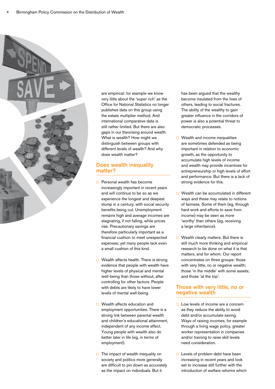

are empirical: for example we know very little about the 'super rich' as the Office for National Statistics no longer publishes data on this group using the estate multiplier method. And international comparative data is still rather limited. But there are also gaps in our theorising around wealth. What is wealth? How might we distinguish between groups with different levels of wealth? And why does wealth matter?

#### Does wealth inequality matter?

- $\Box$  Personal wealth has become increasingly important in recent years and will continue to be so as we experience the longest and deepest slump in a century, with social security benefits being cut. Unemployment remains high and average incomes are stagnating, if not falling, while prices rise. Precautionary savings are therefore particularly important as a financial cushion to meet unexpected expenses; yet many people lack even a small cushion of this kind.
- $\Box$  Wealth affects health. There is strong evidence that people with wealth have higher levels of physical and mental well-being than those without, after controlling for other factors. People with debts are likely to have lower levels of mental well-being.
- $\Box$  Wealth affects education and employment opportunities. There is a strong link between parental wealth and children's educational attainment, independent of any income effect. Young people with wealth also do better later in life (eg, in terms of employment).
- $\Box$  The impact of wealth inequality on society and politics more generally are difficult to pin down as accurately as the impact on individuals. But it

has been argued that the wealthy become insulated from the lives of others, leading to social fractures. The ability of the wealthy to gain greater influence in the corridors of power is also a potential threat to democratic processes.

- $\Box$  Wealth and income inequalities are sometimes defended as being important in relation to economic growth, as the opportunity to accumulate high levels of income and wealth may provide incentives for entrepreneurship or high levels of effort and performance. But there is a lack of strong evidence for this.
- $\Box$  Wealth can be accumulated in different ways and these may relate to notions of fairness. Some of them (eg, through hard work and efforts to save from income) may be seen as more 'worthy' than others (eg, receiving a large inheritance).
- $\Box$  Wealth clearly matters. But there is still much more thinking and empirical research to be done on what it is that matters, and for whom. Our report concentrates on three groups: those with very little, no or negative wealth; those 'in the middle' with some assets; and those 'at the top'.

#### Those with very little, no or negative wealth

- $\Box$  Low levels of income are a concern as they reduce the ability to avoid debt and/or accumulate saving. Ways of raising incomes, for example through a living wage policy, greater worker representation in companies and/or training to raise skill levels need consideration.
- $\Box$  Levels of problem debt have been increasing in recent years and look set to increase still further with the introduction of welfare reforms which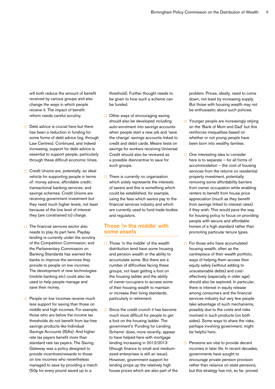will both reduce the amount of benefit received by various groups and also change the ways in which people receive it. The impact of benefit reform needs careful scrutiny.

- $\Box$  Debt advice is crucial here but there has been a reduction in funding for some forms of debt advice (eg, through Law Centres). Continued, and indeed increasing, support for debt advice is essential to support people, particularly through these difficult economic times.
- $\Box$  Credit Unions are, potentially, an ideal vehicle for supporting people in terms of: money advice; affordable credit; transactional banking services; and savings schemes. Credit Unions are receiving government investment but they need much higher levels, not least because of the low level of interest they (are constrained to) charge.
- $\Box$  The financial services sector also needs to play its part here. Payday lending is currently under the scrutiny of the Competition Commission; and the Parliamentary Commission on Banking Standards has warned the banks to improve the services they provide to people on low incomes. The development of new technologies (mobile banking etc) could also be used to help people manage and save their money.
- $\Box$  People on low incomes receive much less support for saving than those on middle and high incomes. For example, those who are below the income tax thresholds do not benefit from tax-free savings products like Individual Savings Accounts (ISAs). And higher rate tax payers benefit more than standard rate tax payers. The Saving Gateway was a policy designed to provide incentives/rewards to those on low incomes who nevertheless managed to save by providing a match (50p for every pound saved up to a

threshold). Further thought needs to be given to how such a scheme can be funded.

- $\Box$  Other ways of encouraging saving should also be developed including auto-enrolment into savings accounts when people start a new job and 'save the change' savings accounts linked to credit and debit cards. Means tests on savings for workers receiving Universal Credit should also be reviewed as a possible disincentive to save for such groups.
- $\Box$  There is currently no organisation which solely represents the interests of savers and this is something which could be established, for example, using the fees which savers pay to the financial services industry and which are currently used to fund trade bodies and regulators.

#### Those 'in the middle' with some assets

- $\Box$  Those 'in the middle' of the wealth distribution tend have some housing and pension wealth or the ability to accumulate some. But there are a number of difficulties facing these groups, not least getting a foot on the housing ladder and the ability of owner-occupiers to access some of their housing wealth to maintain or increase their living standards, particularly in retirement.
- $\Box$  Since the credit crunch it has become much more difficult for people to get a foot on the housing ladder. The government's 'Funding for Lending Scheme' does, more recently, appear to have helped here with mortgage lending increasing in 2012/2013 (though finance to small and mediumsized enterprises is still an issue). However, government support for lending props up the relatively high house prices which are also part of the

problem. Prices, ideally, need to come down, not least by increasing supply. But those with housing wealth may not be enthusiastic about such policies.

- $\Box$  Younger people are increasingly relying on the 'Bank of Mum and Dad' but this reinforces inequalities based on whether or not young people have been born into wealthy families.
- $\Box$  One interesting idea to consider here is to separate – for all forms of accommodation – the cost of housing services from the returns on residential property investment, potentially removing some affordability barriers from owner occupation while enabling renters to benefit from house price appreciation (much as they benefit from savings linked to interest rates) if they wish. This would pave the way for housing policy to focus on providing people with secure and affordable homes of a high standard rather than promoting particular tenure types.
- $\Box$  For those who have accumulated housing wealth, often as the centrepiece of their wealth portfolio, ways of helping them access their equity safely (without adding to unsustainable debts) and costeffectively (especially in older age) should also be explored. In particular, there is interest in equity release among consumers and the financial services industry but very few people take advantage of such mechanisms, possibly due to the costs and risks involved in such products (on both sides). Some ways to share the risks, perhaps involving government, might be helpful here.
- $\Box$  Pensions are vital to provide decent incomes in later life. In recent decades, governments have sought to encourage private pension provision rather than reliance on state pensions, but this strategy has not, so far, proved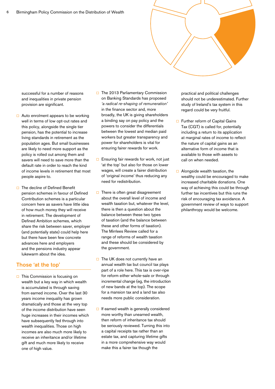

successful for a number of reasons and inequalities in private pension provision are significant.

- $\Box$  Auto enrolment appears to be working well in terms of low opt-out rates and this policy, alongside the single tier pension, has the potential to increase living standards in retirement as the population ages. But small businesses are likely to need more support as the policy is rolled out among them and savers will need to save more than the default rate in order to reach the kind of income levels in retirement that most people aspire to.
- $\Box$  The decline of Defined Benefit pension schemes in favour of Defined Contribution schemes is a particular concern here as savers have little idea of how much money they will receive in retirement. The development of Defined Ambition schemes, which share the risk between saver, employer (and potentially state) could help here but there have been few concrete advances here and employers and the pensions industry appear lukewarm about the idea.

#### Those 'at the top'

 $\Box$  This Commission is focusing on wealth but a key way in which wealth is accumulated is through saving from earned income. Over the last 30 years income inequality has grown dramatically and those at the very top of the income distribution have seen huge increases in their incomes which have subsequently fed through into wealth inequalities. Those on high incomes are also much more likely to receive an inheritance and/or lifetime gift and much more likely to receive one of high value.

- $\Box$  The 2013 Parliamentary Commission on Banking Standards has proposed *'a radical re-shaping of remuneration'*  in the finance sector and, more broadly, the UK is giving shareholders a binding say on pay policy and the powers to consider the differentials between the lowest and median paid workers but greater transparency and power for shareholders is vital for ensuring fairer rewards for work.
- $\Box$  Ensuring fair rewards for work, not just 'at the top' but also for those on lower wages, will create a fairer distribution of 'original income' thus reducing any need for redistribution.
- $\Box$  There is often great disagreement about the overall level of income and wealth taxation but, whatever the level, there is then a question about the balance between these two types of taxation (and the balance between these and other forms of taxation). The Mirrlees Review called for a range of reforms of wealth taxation and these should be considered by the government.
- $\Box$  The UK does not currently have an annual wealth tax but council tax plays part of a role here. This tax is over-ripe for reform either whole-sale or through incremental change (eg, the introduction of new bands at the top). The scope for a mansion tax and a land tax also needs more public consideration.
- $\Box$  If earned wealth is generally considered more worthy than unearned wealth, then reform of inheritance tax should be seriously reviewed. Turning this into a capital receipts tax rather than an estate tax, and capturing lifetime gifts in a more comprehensive way would make this a fairer tax though the

practical and political challenges should not be underestimated. Further study of Ireland's tax system in this regard could be very fruitful.

- $\Box$  Further reform of Capital Gains Tax (CGT) is called for, potentially including a return to its application at marginal rates of income to reflect the nature of capital gains as an alternative form of income that is available to those with assets to call on when needed.
- $\Box$  Alongside wealth taxation, the wealthy could be encouraged to make increased charitable donations. One way of achieving this could be through further tax incentives but this runs the risk of encouraging tax avoidance. A government review of ways to support philanthropy would be welcome.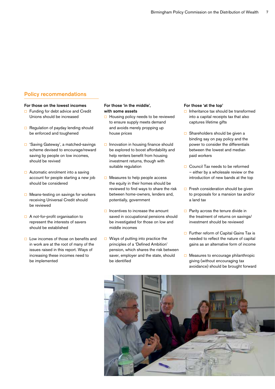#### Policy recommendations

#### For those on the lowest incomes

- $\Box$  Funding for debt advice and Credit Unions should be increased
- $\Box$  Regulation of payday lending should be enforced and toughened
- 'Saving Gateway', a matched-savings scheme devised to encourage/reward saving by people on low incomes, should be revived
- $\Box$  Automatic enrolment into a saving account for people starting a new job should be considered
- $\Box$  Means-testing on savings for workers receiving Universal Credit should be reviewed
- $\Box$  A not-for-profit organisation to represent the interests of savers should be established
- $\Box$  Low incomes of those on benefits and in work are at the root of many of the issues raised in this report. Ways of increasing these incomes need to be implemented

#### For those 'in the middle', with some assets

- $\Box$  Housing policy needs to be reviewed to ensure supply meets demand and avoids merely propping up house prices
- $\Box$  Innovation in housing finance should be explored to boost affordability and help renters benefit from housing investment returns, though with suitable regulation
- $\Box$  Measures to help people access the equity in their homes should be reviewed to find ways to share the risk between home-owners, lenders and, potentially, government
- $\Box$  Incentives to increase the amount saved in occupational pensions should be investigated for those on low and middle incomes
- $\Box$  Ways of putting into practice the principles of a 'Defined Ambition' pension, which shares the risk between saver, employer and the state, should be identified

#### For those 'at the top'

- $\Box$  Inheritance tax should be transformed into a capital receipts tax that also captures lifetime gifts
- $\Box$  Shareholders should be given a binding say on pay policy and the power to consider the differentials between the lowest and median paid workers
- □ Council Tax needs to be reformed – either by a wholesale review or the introduction of new bands at the top
- $\Box$  Fresh consideration should be given to proposals for a mansion tax and/or a land tax
- $\Box$  Parity across the tenure divide in the treatment of returns on savings/ investment should be reviewed
- $\Box$  Further reform of Capital Gains Tax is needed to reflect the nature of capital gains as an alternative form of income
- $\Box$  Measures to encourage philanthropic giving (without encouraging tax avoidance) should be brought forward